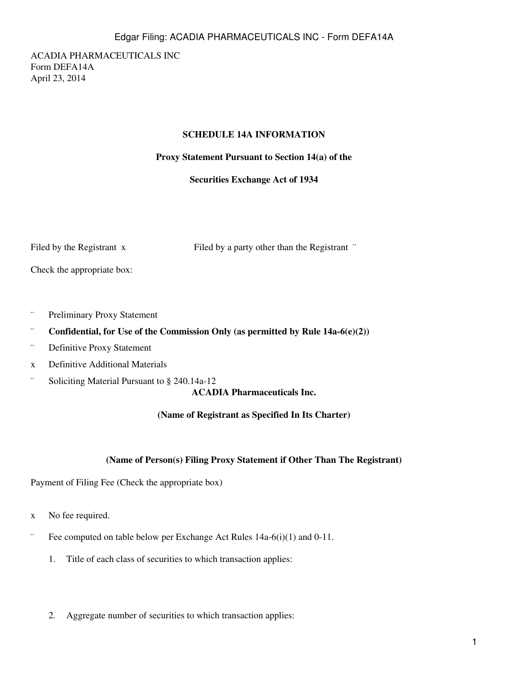# Edgar Filing: ACADIA PHARMACEUTICALS INC - Form DEFA14A

ACADIA PHARMACEUTICALS INC Form DEFA14A April 23, 2014

#### **SCHEDULE 14A INFORMATION**

#### **Proxy Statement Pursuant to Section 14(a) of the**

#### **Securities Exchange Act of 1934**

Filed by the Registrant x Filed by a party other than the Registrant  $\ddot{\,}$ 

Check the appropriate box:

- ¨ Preliminary Proxy Statement
- ¨ **Confidential, for Use of the Commission Only (as permitted by Rule 14a-6(e)(2))**
- ¨ Definitive Proxy Statement
- x Definitive Additional Materials
- ¨ Soliciting Material Pursuant to § 240.14a-12 **ACADIA Pharmaceuticals Inc.**

#### **(Name of Registrant as Specified In Its Charter)**

#### **(Name of Person(s) Filing Proxy Statement if Other Than The Registrant)**

Payment of Filing Fee (Check the appropriate box)

- x No fee required.
- $\ddot{\text{ } }$  Fee computed on table below per Exchange Act Rules 14a-6(i)(1) and 0-11.
	- 1. Title of each class of securities to which transaction applies:
	- 2. Aggregate number of securities to which transaction applies: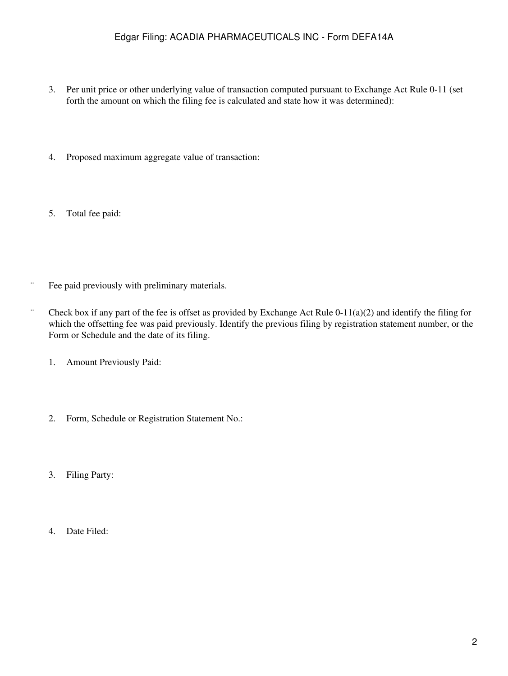# Edgar Filing: ACADIA PHARMACEUTICALS INC - Form DEFA14A

- 3. Per unit price or other underlying value of transaction computed pursuant to Exchange Act Rule 0-11 (set forth the amount on which the filing fee is calculated and state how it was determined):
- 4. Proposed maximum aggregate value of transaction:
- 5. Total fee paid:
- ¨ Fee paid previously with preliminary materials.
- $\degree$  Check box if any part of the fee is offset as provided by Exchange Act Rule 0-11(a)(2) and identify the filing for which the offsetting fee was paid previously. Identify the previous filing by registration statement number, or the Form or Schedule and the date of its filing.
	- 1. Amount Previously Paid:
	- 2. Form, Schedule or Registration Statement No.:
	- 3. Filing Party:
	- 4. Date Filed: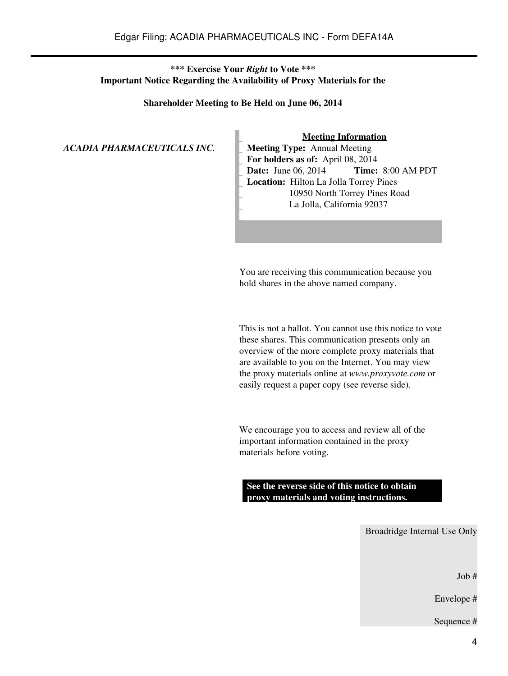## **\*\*\* Exercise Your** *Right* **to Vote \*\*\* Important Notice Regarding the Availability of Proxy Materials for the**

**Shareholder Meeting to Be Held on June 06, 2014**

*ACADIA PHARMACEUTICALS INC.* Meeting Type: Annual Meeting

**Meeting Information**

**For holders as of:** April 08, 2014 **Date:** June 06, 2014 **Time:** 8:00 AM PDT **Location:** Hilton La Jolla Torrey Pines 10950 North Torrey Pines Road La Jolla, California 92037

You are receiving this communication because you hold shares in the above named company.

This is not a ballot. You cannot use this notice to vote these shares. This communication presents only an overview of the more complete proxy materials that are available to you on the Internet. You may view the proxy materials online at *www.proxyvote.com* or easily request a paper copy (see reverse side).

We encourage you to access and review all of the important information contained in the proxy materials before voting.

# **See the reverse side of this notice to obtain proxy materials and voting instructions.**

Broadridge Internal Use Only

Job #

Envelope #

Sequence #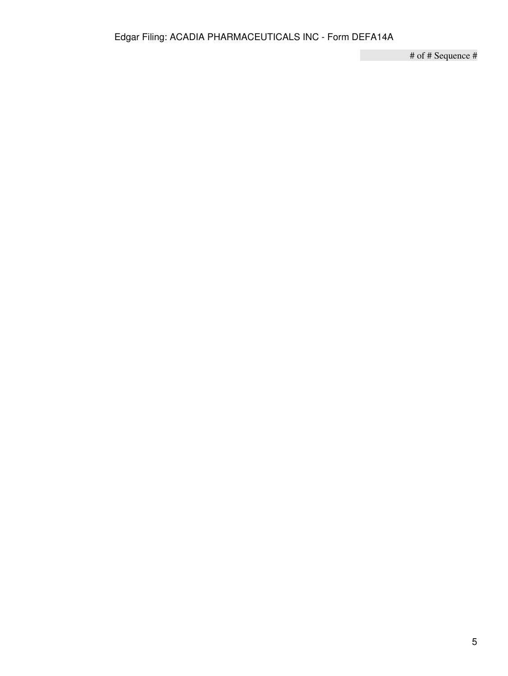# of # Sequence #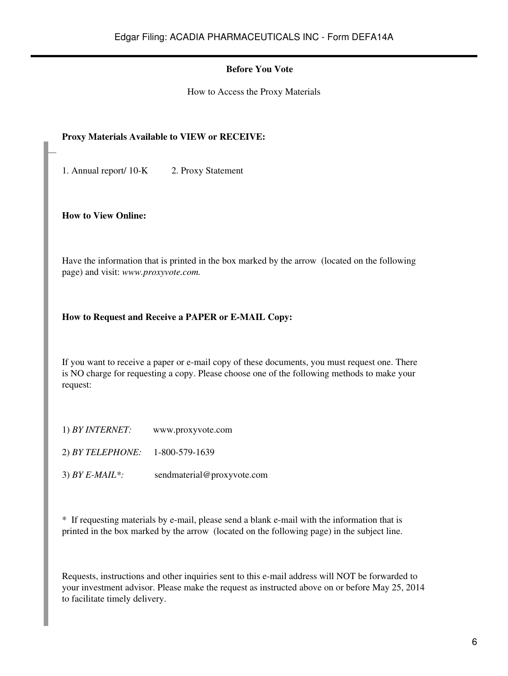### **Before You Vote**

How to Access the Proxy Materials

# **Proxy Materials Available to VIEW or RECEIVE:**

1. Annual report/ 10-K 2. Proxy Statement

**How to View Online:**

Have the information that is printed in the box marked by the arrow (located on the following page) and visit: *www.proxyvote.com.*

## **How to Request and Receive a PAPER or E-MAIL Copy:**

If you want to receive a paper or e-mail copy of these documents, you must request one. There is NO charge for requesting a copy. Please choose one of the following methods to make your request:

1) *BY INTERNET:* www.proxyvote.com

2) *BY TELEPHONE:* 1-800-579-1639

3) *BY E-MAIL\*:* sendmaterial@proxyvote.com

\* If requesting materials by e-mail, please send a blank e-mail with the information that is printed in the box marked by the arrow (located on the following page) in the subject line.

Requests, instructions and other inquiries sent to this e-mail address will NOT be forwarded to your investment advisor. Please make the request as instructed above on or before May 25, 2014 to facilitate timely delivery.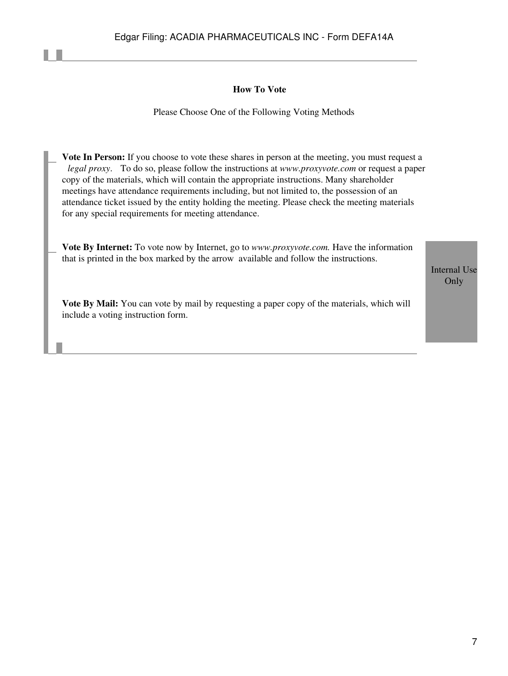٠ П

# **How To Vote**

# Please Choose One of the Following Voting Methods

**Vote In Person:** If you choose to vote these shares in person at the meeting, you must request a *legal proxy*. To do so, please follow the instructions at *www.proxyvote.com* or request a paper copy of the materials, which will contain the appropriate instructions. Many shareholder meetings have attendance requirements including, but not limited to, the possession of an attendance ticket issued by the entity holding the meeting. Please check the meeting materials for any special requirements for meeting attendance.

**Vote By Internet:** To vote now by Internet, go to *www.proxyvote.com.* Have the information that is printed in the box marked by the arrow available and follow the instructions.

**Vote By Mail:** You can vote by mail by requesting a paper copy of the materials, which will include a voting instruction form.

Internal Use Only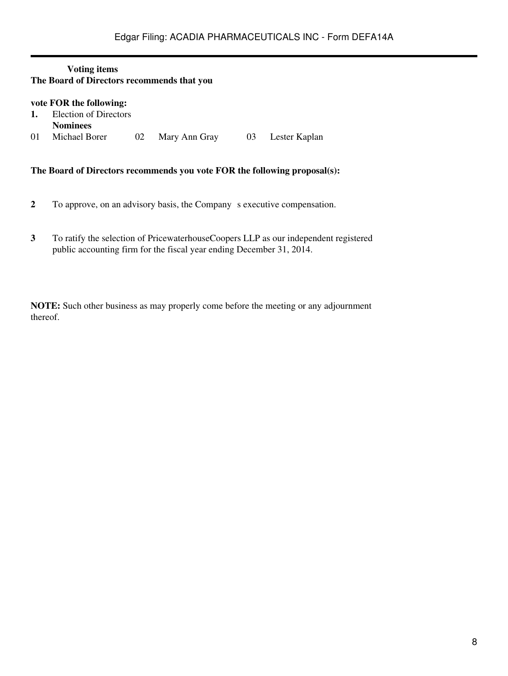# **Voting items The Board of Directors recommends that you vote FOR the following: 1.** Election of Directors

**Nominees** 01 Michael Borer 02 Mary Ann Gray 03 Lester Kaplan

## **The Board of Directors recommends you vote FOR the following proposal(s):**

- **2** To approve, on an advisory basis, the Company s executive compensation.
- **3** To ratify the selection of PricewaterhouseCoopers LLP as our independent registered public accounting firm for the fiscal year ending December 31, 2014.

**NOTE:** Such other business as may properly come before the meeting or any adjournment thereof.